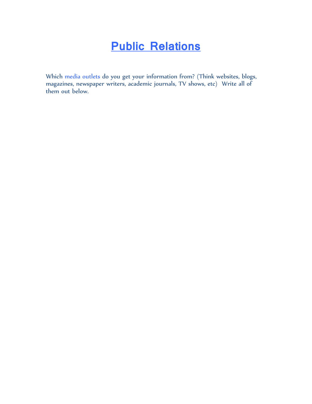## **Public Relations**

Which media outlets do you get your information from? (Think websites, blogs, magazines, newspaper writers, academic journals, TV shows, etc) Write all of them out below.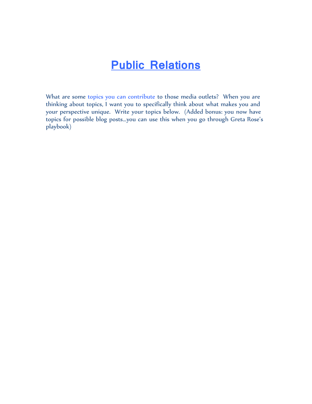## **Public Relations**

What are some topics you can contribute to those media outlets? When you are thinking about topics, I want you to specifically think about what makes you and your perspective unique. Write your topics below. (Added bonus: you now have topics for possible blog posts…you can use this when you go through Greta Rose's playbook)